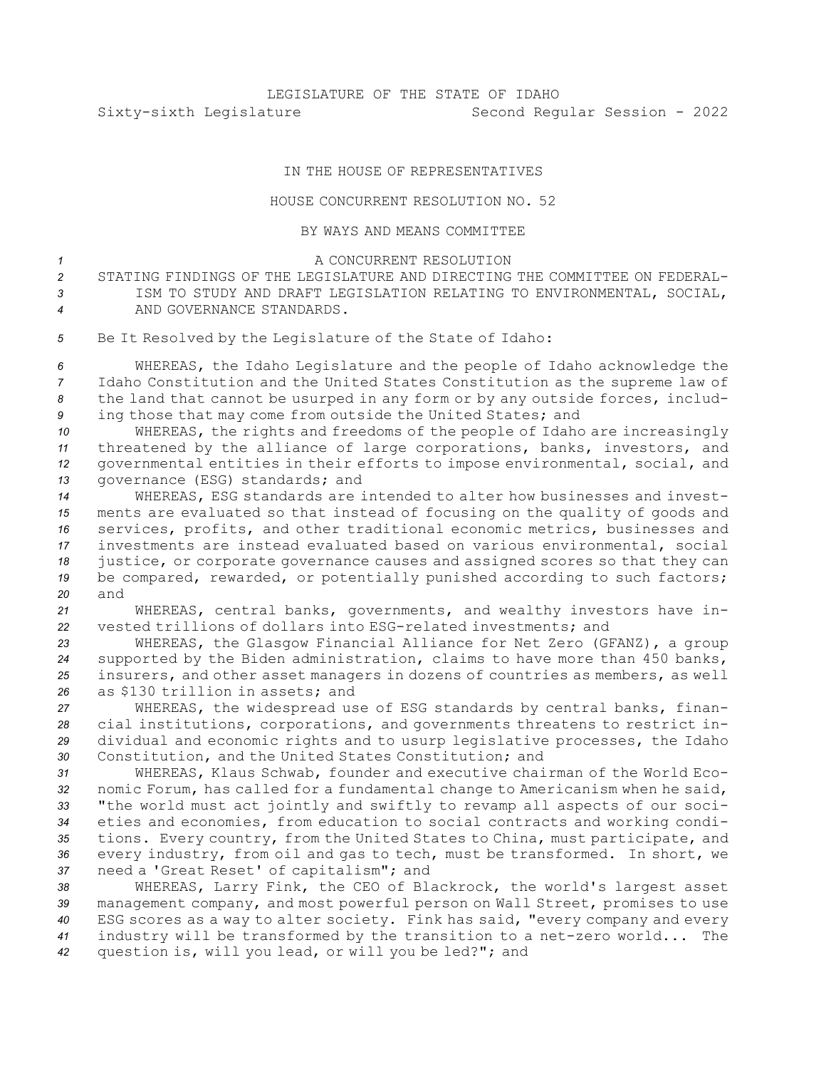## IN THE HOUSE OF REPRESENTATIVES

## HOUSE CONCURRENT RESOLUTION NO. 52

## BY WAYS AND MEANS COMMITTEE

## <sup>1</sup> A CONCURRENT RESOLUTION

*2* STATING FINDINGS OF THE LEGISLATURE AND DIRECTING THE COMMITTEE ON FEDERAL-*3* ISM TO STUDY AND DRAFT LEGISLATION RELATING TO ENVIRONMENTAL, SOCIAL, *4* AND GOVERNANCE STANDARDS.

*<sup>5</sup>* Be It Resolved by the Legislature of the State of Idaho:

 WHEREAS, the Idaho Legislature and the people of Idaho acknowledge the Idaho Constitution and the United States Constitution as the supreme law of the land that cannot be usurped in any form or by any outside forces, includ-ing those that may come from outside the United States; and

 WHEREAS, the rights and freedoms of the people of Idaho are increasingly threatened by the alliance of large corporations, banks, investors, and governmental entities in their efforts to impose environmental, social, and governance (ESG) standards; and

 WHEREAS, ESG standards are intended to alter how businesses and invest- ments are evaluated so that instead of focusing on the quality of goods and services, profits, and other traditional economic metrics, businesses and investments are instead evaluated based on various environmental, social justice, or corporate governance causes and assigned scores so that they can be compared, rewarded, or potentially punished according to such factors; *20* and

*<sup>21</sup>* WHEREAS, central banks, governments, and wealthy investors have in-*22* vested trillions of dollars into ESG-related investments; and

 WHEREAS, the Glasgow Financial Alliance for Net Zero (GFANZ), <sup>a</sup> group supported by the Biden administration, claims to have more than 450 banks, insurers, and other asset managers in dozens of countries as members, as well as \$130 trillion in assets; and

 WHEREAS, the widespread use of ESG standards by central banks, finan- cial institutions, corporations, and governments threatens to restrict in- dividual and economic rights and to usurp legislative processes, the Idaho Constitution, and the United States Constitution; and

 WHEREAS, Klaus Schwab, founder and executive chairman of the World Eco- nomic Forum, has called for <sup>a</sup> fundamental change to Americanism when he said, "the world must act jointly and swiftly to revamp all aspects of our soci- eties and economies, from education to social contracts and working condi- tions. Every country, from the United States to China, must participate, and every industry, from oil and gas to tech, must be transformed. In short, we need <sup>a</sup> 'Great Reset' of capitalism"; and

 WHEREAS, Larry Fink, the CEO of Blackrock, the world's largest asset management company, and most powerful person on Wall Street, promises to use ESG scores as <sup>a</sup> way to alter society. Fink has said, "every company and every industry will be transformed by the transition to <sup>a</sup> net-zero world... The question is, will you lead, or will you be led?"; and